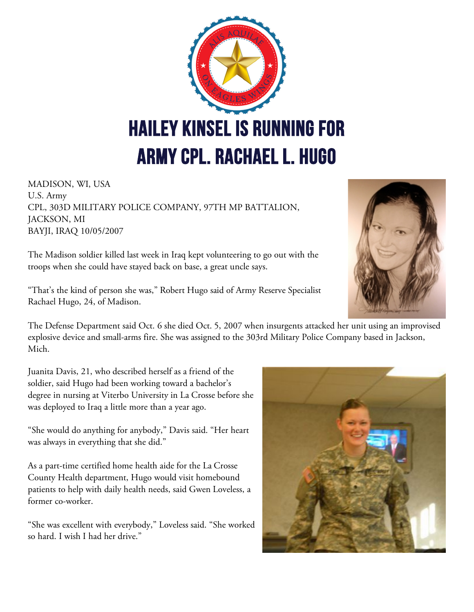

MADISON, WI, USA U.S. Army CPL, 303D MILITARY POLICE COMPANY, 97TH MP BATTALION, JACKSON, MI BAYJI, IRAQ 10/05/2007

The Madison soldier killed last week in Iraq kept volunteering to go out with the troops when she could have stayed back on base, a great uncle says.

"That's the kind of person she was," Robert Hugo said of Army Reserve Specialist Rachael Hugo, 24, of Madison.

The Defense Department said Oct. 6 she died Oct. 5, 2007 when insurgents attacked her unit using an improvised explosive device and small-arms fire. She was assigned to the 303rd Military Police Company based in Jackson, Mich.

Juanita Davis, 21, who described herself as a friend of the soldier, said Hugo had been working toward a bachelor's degree in nursing at Viterbo University in La Crosse before she was deployed to Iraq a little more than a year ago.

"She would do anything for anybody," Davis said. "Her heart was always in everything that she did."

As a part-time certified home health aide for the La Crosse County Health department, Hugo would visit homebound patients to help with daily health needs, said Gwen Loveless, a former co-worker.

"She was excellent with everybody," Loveless said. "She worked so hard. I wish I had her drive."